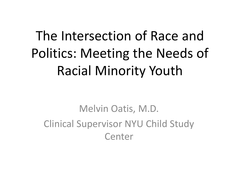# The Intersection of Race and Politics: Meeting the Needs of Racial Minority Youth

Melvin Oatis, M.D. Clinical Supervisor NYU Child Study Center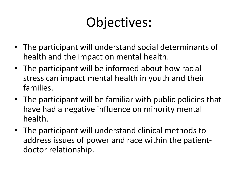## Objectives:

- The participant will understand social determinants of health and the impact on mental health.
- The participant will be informed about how racial stress can impact mental health in youth and their families.
- The participant will be familiar with public policies that have had a negative influence on minority mental health.
- The participant will understand clinical methods to address issues of power and race within the patientdoctor relationship.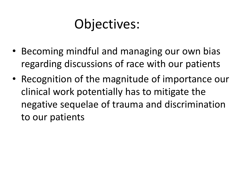### Objectives:

- Becoming mindful and managing our own bias regarding discussions of race with our patients
- Recognition of the magnitude of importance our clinical work potentially has to mitigate the negative sequelae of trauma and discrimination to our patients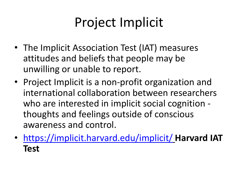## Project Implicit

- The Implicit Association Test (IAT) measures attitudes and beliefs that people may be unwilling or unable to report.
- Project Implicit is a non-profit organization and international collaboration between researchers who are interested in implicit social cognition thoughts and feelings outside of conscious awareness and control.
- <https://implicit.harvard.edu/implicit/> **Harvard IAT Test**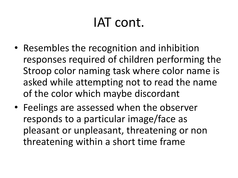### IAT cont.

- Resembles the recognition and inhibition responses required of children performing the Stroop color naming task where color name is asked while attempting not to read the name of the color which maybe discordant
- Feelings are assessed when the observer responds to a particular image/face as pleasant or unpleasant, threatening or non threatening within a short time frame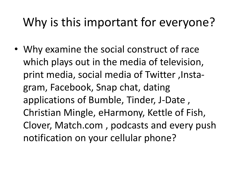#### Why is this important for everyone?

• Why examine the social construct of race which plays out in the media of television, print media, social media of Twitter ,Instagram, Facebook, Snap chat, dating applications of Bumble, Tinder, J-Date , Christian Mingle, eHarmony, Kettle of Fish, Clover, Match.com , podcasts and every push notification on your cellular phone?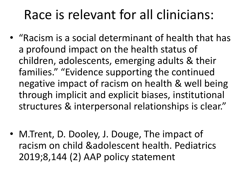#### Race is relevant for all clinicians:

- "Racism is a social determinant of health that has a profound impact on the health status of children, adolescents, emerging adults & their families." "Evidence supporting the continued negative impact of racism on health & well being through implicit and explicit biases, institutional structures & interpersonal relationships is clear."
- M.Trent, D. Dooley, J. Douge, The impact of racism on child &adolescent health. Pediatrics 2019;8,144 (2) AAP policy statement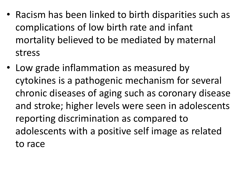- Racism has been linked to birth disparities such as complications of low birth rate and infant mortality believed to be mediated by maternal stress
- Low grade inflammation as measured by cytokines is a pathogenic mechanism for several chronic diseases of aging such as coronary disease and stroke; higher levels were seen in adolescents reporting discrimination as compared to adolescents with a positive self image as related to race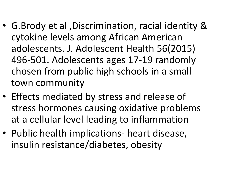- G.Brody et al ,Discrimination, racial identity & cytokine levels among African American adolescents. J. Adolescent Health 56(2015) 496-501. Adolescents ages 17-19 randomly chosen from public high schools in a small town community
- Effects mediated by stress and release of stress hormones causing oxidative problems at a cellular level leading to inflammation
- Public health implications- heart disease, insulin resistance/diabetes, obesity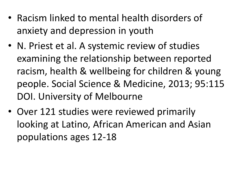- Racism linked to mental health disorders of anxiety and depression in youth
- N. Priest et al. A systemic review of studies examining the relationship between reported racism, health & wellbeing for children & young people. Social Science & Medicine, 2013; 95:115 DOI. University of Melbourne
- Over 121 studies were reviewed primarily looking at Latino, African American and Asian populations ages 12-18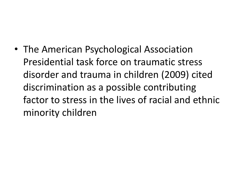• The American Psychological Association Presidential task force on traumatic stress disorder and trauma in children (2009) cited discrimination as a possible contributing factor to stress in the lives of racial and ethnic minority children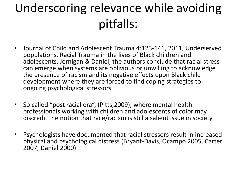#### Underscoring relevance while avoiding pitfalls:

- Journal of Child and Adolescent Trauma 4:123-141, 2011, Underserved populations, Racial Trauma in the lives of Black children and adolescents, Jernigan & Daniel, the authors conclude that racial stress can emerge when systems are oblivious or unwilling to acknowledge the presence of racism and its negative effects upon Black child development where they are forced to find coping strategies to ongoing psychological stressors
- So called "post racial era", (Pitts,2009), where mental health professionals working with children and adolescents of color may discredit the notion that race/racism is still a salient issue in society
- Psychologists have documented that racial stressors result in increased physical and psychological distress (Bryant-Davis, Ocampo 2005, Carter 2007, Daniel 2000)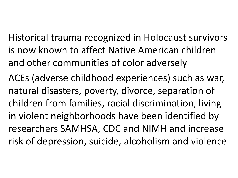Historical trauma recognized in Holocaust survivors is now known to affect Native American children and other communities of color adversely

ACEs (adverse childhood experiences) such as war, natural disasters, poverty, divorce, separation of children from families, racial discrimination, living in violent neighborhoods have been identified by researchers SAMHSA, CDC and NIMH and increase risk of depression, suicide, alcoholism and violence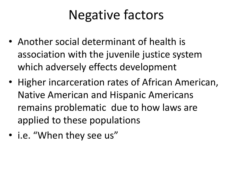#### Negative factors

- Another social determinant of health is association with the juvenile justice system which adversely effects development
- Higher incarceration rates of African American, Native American and Hispanic Americans remains problematic due to how laws are applied to these populations
- i.e. "When they see us"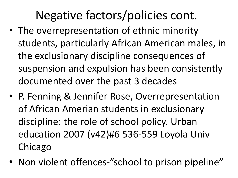#### Negative factors/policies cont.

- The overrepresentation of ethnic minority students, particularly African American males, in the exclusionary discipline consequences of suspension and expulsion has been consistently documented over the past 3 decades
- P. Fenning & Jennifer Rose, Overrepresentation of African Amerian students in exclusionary discipline: the role of school policy. Urban education 2007 (v42)#6 536-559 Loyola Univ Chicago
- Non violent offences-"school to prison pipeline"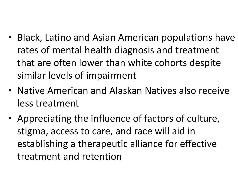- Black, Latino and Asian American populations have rates of mental health diagnosis and treatment that are often lower than white cohorts despite similar levels of impairment
- Native American and Alaskan Natives also receive less treatment
- Appreciating the influence of factors of culture, stigma, access to care, and race will aid in establishing a therapeutic alliance for effective treatment and retention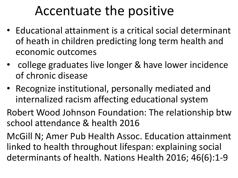#### Accentuate the positive

- Educational attainment is a critical social determinant of heath in children predicting long term health and economic outcomes
- college graduates live longer & have lower incidence of chronic disease
- Recognize institutional, personally mediated and internalized racism affecting educational system

Robert Wood Johnson Foundation: The relationship btw school attendance & health 2016

McGill N; Amer Pub Health Assoc. Education attainment linked to health throughout lifespan: explaining social determinants of health. Nations Health 2016; 46(6):1-9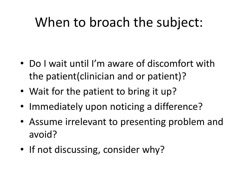### When to broach the subject:

- Do I wait until I'm aware of discomfort with the patient(clinician and or patient)?
- Wait for the patient to bring it up?
- Immediately upon noticing a difference?
- Assume irrelevant to presenting problem and avoid?
- If not discussing, consider why?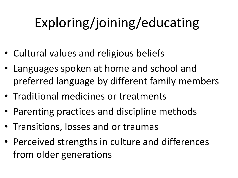# Exploring/joining/educating

- Cultural values and religious beliefs
- Languages spoken at home and school and preferred language by different family members
- Traditional medicines or treatments
- Parenting practices and discipline methods
- Transitions, losses and or traumas
- Perceived strengths in culture and differences from older generations